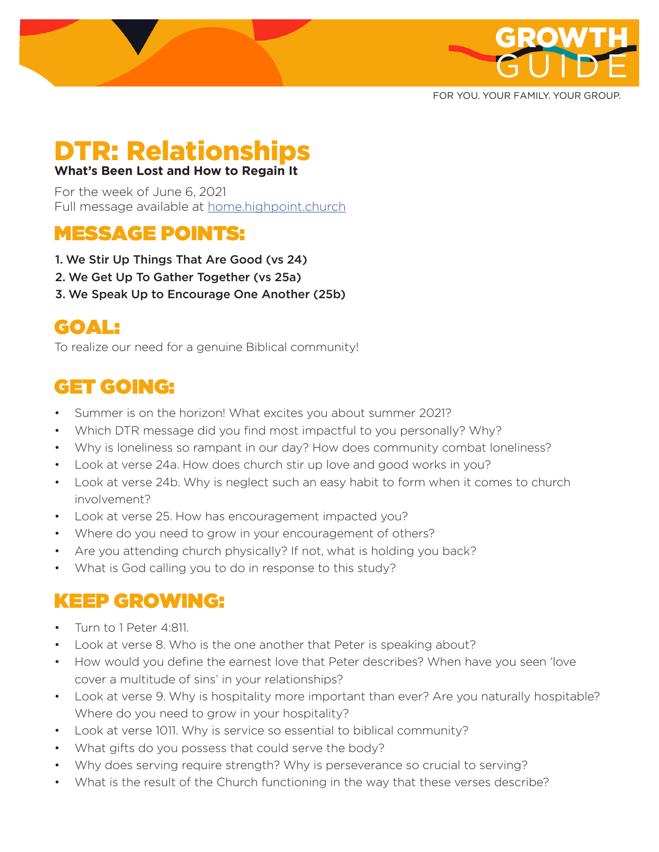

FOR YOU. YOUR FAMILY. YOUR GROUP.

# DTR: Relationships

#### **What's Been Lost and How to Regain It**

For the week of June 6, 2021 Full message available at home.highpoint.church

## MESSAGE POINTS:

- 1. We Stir Up Things That Are Good (vs 24)
- 2. We Get Up To Gather Together (vs 25a)
- 3. We Speak Up to Encourage One Another (25b)

# GOAL:

To realize our need for a genuine Biblical community!

# GET GOING:

- Summer is on the horizon! What excites you about summer 2021?
- Which DTR message did you find most impactful to you personally? Why?
- Why is loneliness so rampant in our day? How does community combat loneliness?
- Look at verse 24a. How does church stir up love and good works in you?
- Look at verse 24b. Why is neglect such an easy habit to form when it comes to church involvement?
- Look at verse 25. How has encouragement impacted you?
- Where do you need to grow in your encouragement of others?
- Are you attending church physically? If not, what is holding you back?
- What is God calling you to do in response to this study?

### KEEP GROWING:

- Turn to 1 Peter 4:811.
- Look at verse 8. Who is the one another that Peter is speaking about?
- How would you define the earnest love that Peter describes? When have you seen 'love cover a multitude of sins' in your relationships?
- Look at verse 9. Why is hospitality more important than ever? Are you naturally hospitable? Where do you need to grow in your hospitality?
- Look at verse 1011. Why is service so essential to biblical community?
- What gifts do you possess that could serve the body?
- Why does serving require strength? Why is perseverance so crucial to serving?
- What is the result of the Church functioning in the way that these verses describe?